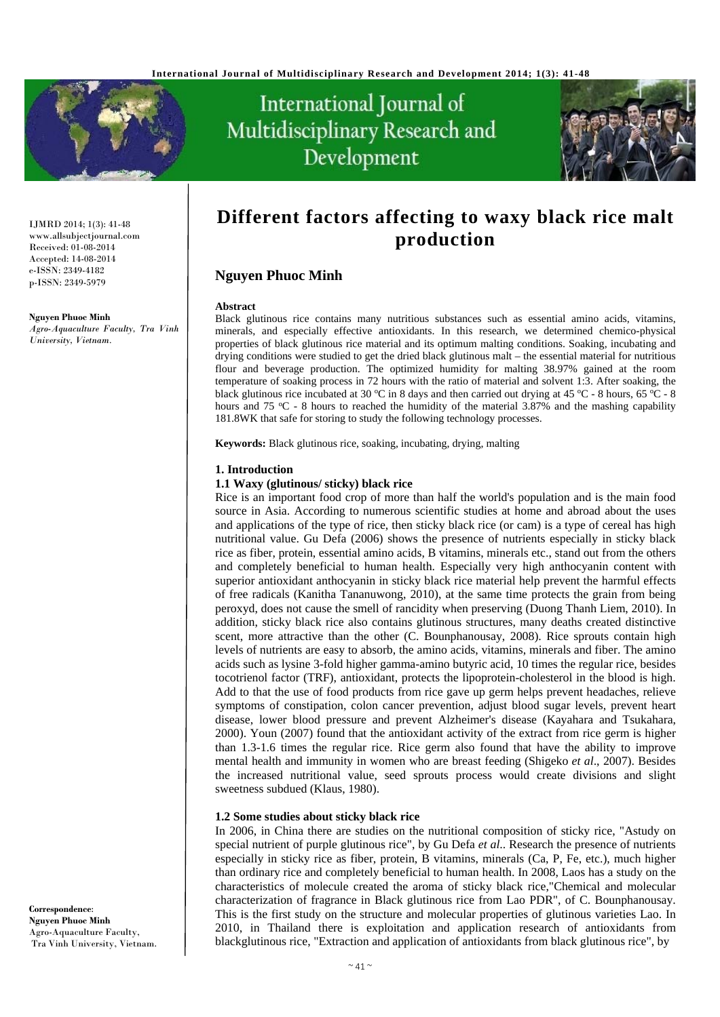



IJMRD 2014; 1(3): 41-48 www.allsubjectjournal.com Received: 01-08-2014 Accepted: 14-08-2014 e-ISSN: 2349-4182 p-ISSN: 2349-5979

#### **Nguyen Phuoc Minh**

*Agro-Aquaculture Faculty, Tra Vinh University, Vietnam.* 

# **Different factors affecting to waxy black rice malt production**

# **Nguyen Phuoc Minh**

#### **Abstract**

Black glutinous rice contains many nutritious substances such as essential amino acids, vitamins, minerals, and especially effective antioxidants. In this research, we determined chemico-physical properties of black glutinous rice material and its optimum malting conditions. Soaking, incubating and drying conditions were studied to get the dried black glutinous malt – the essential material for nutritious flour and beverage production. The optimized humidity for malting 38.97% gained at the room temperature of soaking process in 72 hours with the ratio of material and solvent 1:3. After soaking, the black glutinous rice incubated at 30 °C in 8 days and then carried out drying at 45 °C - 8 hours, 65 °C - 8 hours and 75  $\degree$ C - 8 hours to reached the humidity of the material 3.87% and the mashing capability 181.8WK that safe for storing to study the following technology processes.

**Keywords:** Black glutinous rice, soaking, incubating, drying, malting

### **1. Introduction**

#### **1.1 Waxy (glutinous/ sticky) black rice**

Rice is an important food crop of more than half the world's population and is the main food source in Asia. According to numerous scientific studies at home and abroad about the uses and applications of the type of rice, then sticky black rice (or cam) is a type of cereal has high nutritional value. Gu Defa (2006) shows the presence of nutrients especially in sticky black rice as fiber, protein, essential amino acids, B vitamins, minerals etc., stand out from the others and completely beneficial to human health. Especially very high anthocyanin content with superior antioxidant anthocyanin in sticky black rice material help prevent the harmful effects of free radicals (Kanitha Tananuwong, 2010), at the same time protects the grain from being peroxyd, does not cause the smell of rancidity when preserving (Duong Thanh Liem, 2010). In addition, sticky black rice also contains glutinous structures, many deaths created distinctive scent, more attractive than the other (C. Bounphanousay, 2008). Rice sprouts contain high levels of nutrients are easy to absorb, the amino acids, vitamins, minerals and fiber. The amino acids such as lysine 3-fold higher gamma-amino butyric acid, 10 times the regular rice, besides tocotrienol factor (TRF), antioxidant, protects the lipoprotein-cholesterol in the blood is high. Add to that the use of food products from rice gave up germ helps prevent headaches, relieve symptoms of constipation, colon cancer prevention, adjust blood sugar levels, prevent heart disease, lower blood pressure and prevent Alzheimer's disease (Kayahara and Tsukahara, 2000). Youn (2007) found that the antioxidant activity of the extract from rice germ is higher than 1.3-1.6 times the regular rice. Rice germ also found that have the ability to improve mental health and immunity in women who are breast feeding (Shigeko *et al*., 2007). Besides the increased nutritional value, seed sprouts process would create divisions and slight sweetness subdued (Klaus, 1980).

#### **1.2 Some studies about sticky black rice**

In 2006, in China there are studies on the nutritional composition of sticky rice, "Astudy on special nutrient of purple glutinous rice", by Gu Defa *et al*.. Research the presence of nutrients especially in sticky rice as fiber, protein, B vitamins, minerals (Ca, P, Fe, etc.), much higher than ordinary rice and completely beneficial to human health. In 2008, Laos has a study on the characteristics of molecule created the aroma of sticky black rice,"Chemical and molecular characterization of fragrance in Black glutinous rice from Lao PDR", of C. Bounphanousay. This is the first study on the structure and molecular properties of glutinous varieties Lao. In 2010, in Thailand there is exploitation and application research of antioxidants from blackglutinous rice, "Extraction and application of antioxidants from black glutinous rice", by

**Correspondence**: **Nguyen Phuoc Minh** Agro-Aquaculture Faculty, Tra Vinh University, Vietnam.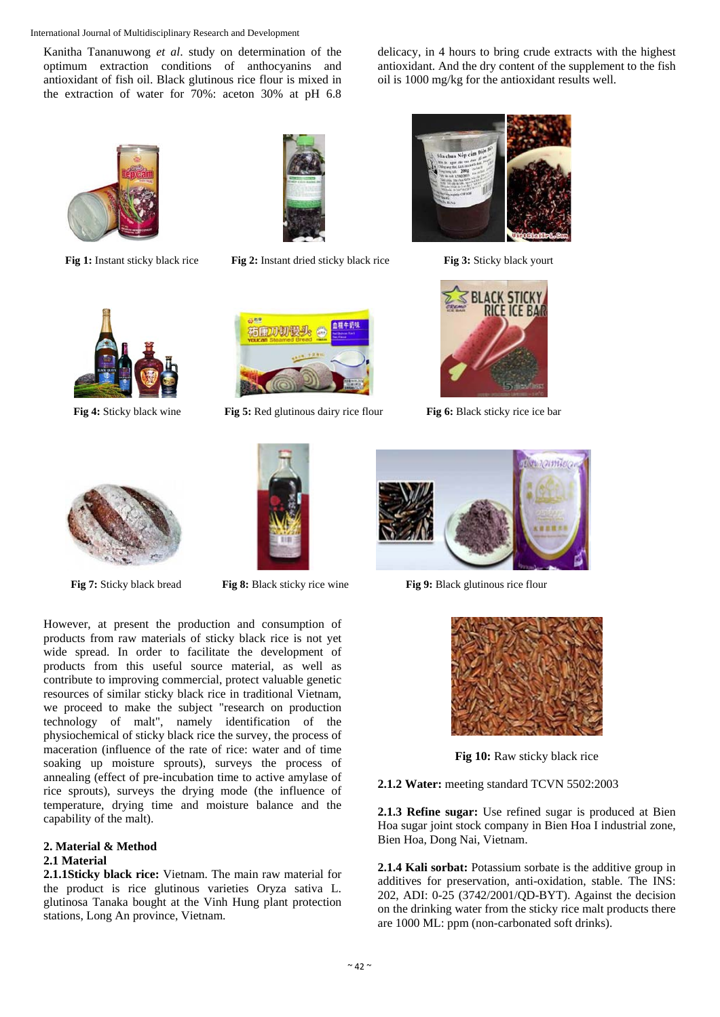Kanitha Tananuwong *et al*. study on determination of the optimum extraction conditions of anthocyanins and antioxidant of fish oil. Black glutinous rice flour is mixed in the extraction of water for 70%: aceton 30% at pH 6.8

delicacy, in 4 hours to bring crude extracts with the highest antioxidant. And the dry content of the supplement to the fish oil is 1000 mg/kg for the antioxidant results well.





**Fig 1:** Instant sticky black rice**Fig 2:** Instant dried sticky black rice**Fig 3:** Sticky black yourt







**Fig 4:** Sticky black wine **Fig 5:** Red glutinous dairy rice flour **Fig 6:** Black sticky rice ice bar







However, at present the production and consumption of products from raw materials of sticky black rice is not yet wide spread. In order to facilitate the development of products from this useful source material, as well as contribute to improving commercial, protect valuable genetic resources of similar sticky black rice in traditional Vietnam, we proceed to make the subject "research on production technology of malt", namely identification of the physiochemical of sticky black rice the survey, the process of maceration (influence of the rate of rice: water and of time soaking up moisture sprouts), surveys the process of annealing (effect of pre-incubation time to active amylase of rice sprouts), surveys the drying mode (the influence of temperature, drying time and moisture balance and the capability of the malt).

#### **2. Material & Method 2.1 Material**

**2.1.1Sticky black rice:** Vietnam. The main raw material for the product is rice glutinous varieties Oryza sativa L. glutinosa Tanaka bought at the Vinh Hung plant protection stations, Long An province, Vietnam.



**Fig 7:** Sticky black bread **Fig 8:** Black sticky rice wine **Fig 9:** Black glutinous rice flour



**Fig 10:** Raw sticky black rice

**2.1.2 Water:** meeting standard TCVN 5502:2003

**2.1.3 Refine sugar:** Use refined sugar is produced at Bien Hoa sugar joint stock company in Bien Hoa I industrial zone, Bien Hoa, Dong Nai, Vietnam.

**2.1.4 Kali sorbat:** Potassium sorbate is the additive group in additives for preservation, anti-oxidation, stable. The INS: 202, ADI: 0-25 (3742/2001/QD-BYT). Against the decision on the drinking water from the sticky rice malt products there are 1000 ML: ppm (non-carbonated soft drinks).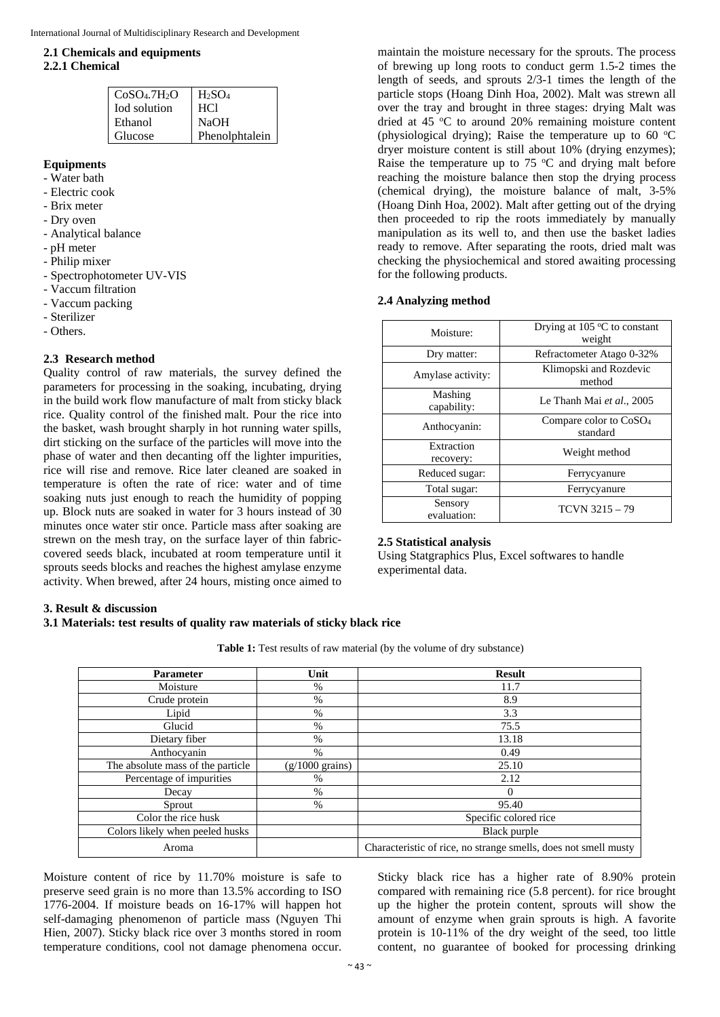### **2.1 Chemicals and equipments**

#### **2.2.1 Chemical**

| CoSO <sub>4</sub> .7H <sub>2</sub> O | $H_2SO_4$      |
|--------------------------------------|----------------|
| <b>Iod</b> solution                  | HCl            |
| Ethanol                              | <b>NaOH</b>    |
| Glucose                              | Phenolphtalein |

# **Equipments**

- Water bath
- Electric cook
- Brix meter
- Dry oven
- Analytical balance
- pH meter
- Philip mixer
- Spectrophotometer UV-VIS
- Vaccum filtration
- Vaccum packing
- Sterilizer
- Others.

### **2.3 Research method**

Quality control of raw materials, the survey defined the parameters for processing in the soaking, incubating, drying in the build work flow manufacture of malt from sticky black rice. Quality control of the finished malt. Pour the rice into the basket, wash brought sharply in hot running water spills, dirt sticking on the surface of the particles will move into the phase of water and then decanting off the lighter impurities, rice will rise and remove. Rice later cleaned are soaked in temperature is often the rate of rice: water and of time soaking nuts just enough to reach the humidity of popping up. Block nuts are soaked in water for 3 hours instead of 30 minutes once water stir once. Particle mass after soaking are strewn on the mesh tray, on the surface layer of thin fabriccovered seeds black, incubated at room temperature until it sprouts seeds blocks and reaches the highest amylase enzyme activity. When brewed, after 24 hours, misting once aimed to

maintain the moisture necessary for the sprouts. The process of brewing up long roots to conduct germ 1.5-2 times the length of seeds, and sprouts 2/3-1 times the length of the particle stops (Hoang Dinh Hoa, 2002). Malt was strewn all over the tray and brought in three stages: drying Malt was dried at 45 °C to around 20% remaining moisture content (physiological drying); Raise the temperature up to 60  $^{\circ}$ C dryer moisture content is still about 10% (drying enzymes); Raise the temperature up to  $75 \text{ °C}$  and drying malt before reaching the moisture balance then stop the drying process (chemical drying), the moisture balance of malt, 3-5% (Hoang Dinh Hoa, 2002). Malt after getting out of the drying then proceeded to rip the roots immediately by manually manipulation as its well to, and then use the basket ladies ready to remove. After separating the roots, dried malt was checking the physiochemical and stored awaiting processing for the following products.

#### **2.4 Analyzing method**

| Moisture:               | Drying at $105^{\circ}$ C to constant<br>weight |
|-------------------------|-------------------------------------------------|
| Dry matter:             | Refractometer Atago 0-32%                       |
| Amylase activity:       | Klimopski and Rozdevic<br>method                |
| Mashing<br>capability:  | Le Thanh Mai et al., 2005                       |
| Anthocyanin:            | Compare color to CoSO <sub>4</sub><br>standard  |
| Extraction<br>recovery: | Weight method                                   |
| Reduced sugar:          | Ferrycyanure                                    |
| Total sugar:            | Ferrycyanure                                    |
| Sensory<br>evaluation:  | $TCVN 3215 - 79$                                |

# **2.5 Statistical analysis**

Using Statgraphics Plus, Excel softwares to handle experimental data.

#### **3. Result & discussion**

#### **3.1 Materials: test results of quality raw materials of sticky black rice**

Table 1: Test results of raw material (by the volume of dry substance)

| <b>Parameter</b>                  | Unit                      | <b>Result</b>                                                   |  |  |
|-----------------------------------|---------------------------|-----------------------------------------------------------------|--|--|
| Moisture                          | $\%$                      | 11.7                                                            |  |  |
| Crude protein                     | $\%$                      | 8.9                                                             |  |  |
| Lipid                             | $\%$                      | 3.3                                                             |  |  |
| Glucid                            | %                         | 75.5                                                            |  |  |
| Dietary fiber                     | %                         | 13.18                                                           |  |  |
| Anthocyanin                       | %                         | 0.49                                                            |  |  |
| The absolute mass of the particle | $(g/1000 \text{ grains})$ | 25.10                                                           |  |  |
| Percentage of impurities          | %                         | 2.12                                                            |  |  |
| Decay                             | $\%$                      |                                                                 |  |  |
| Sprout                            | $\%$                      | 95.40                                                           |  |  |
| Color the rice husk               |                           | Specific colored rice                                           |  |  |
| Colors likely when peeled husks   |                           | Black purple                                                    |  |  |
| Aroma                             |                           | Characteristic of rice, no strange smells, does not smell musty |  |  |

Moisture content of rice by 11.70% moisture is safe to preserve seed grain is no more than 13.5% according to ISO 1776-2004. If moisture beads on 16-17% will happen hot self-damaging phenomenon of particle mass (Nguyen Thi Hien, 2007). Sticky black rice over 3 months stored in room temperature conditions, cool not damage phenomena occur.

Sticky black rice has a higher rate of 8.90% protein compared with remaining rice (5.8 percent). for rice brought up the higher the protein content, sprouts will show the amount of enzyme when grain sprouts is high. A favorite protein is 10-11% of the dry weight of the seed, too little content, no guarantee of booked for processing drinking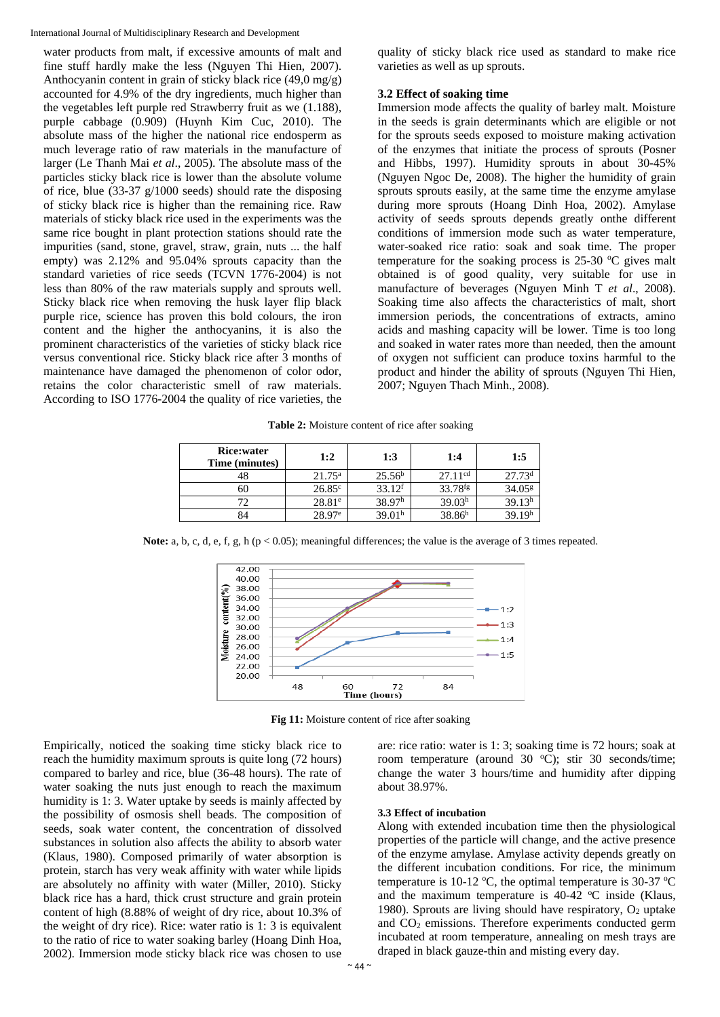water products from malt, if excessive amounts of malt and fine stuff hardly make the less (Nguyen Thi Hien, 2007). Anthocyanin content in grain of sticky black rice (49,0 mg/g) accounted for 4.9% of the dry ingredients, much higher than the vegetables left purple red Strawberry fruit as we (1.188), purple cabbage (0.909) (Huynh Kim Cuc, 2010). The absolute mass of the higher the national rice endosperm as much leverage ratio of raw materials in the manufacture of larger (Le Thanh Mai *et al*., 2005). The absolute mass of the particles sticky black rice is lower than the absolute volume of rice, blue (33-37 g/1000 seeds) should rate the disposing of sticky black rice is higher than the remaining rice. Raw materials of sticky black rice used in the experiments was the same rice bought in plant protection stations should rate the impurities (sand, stone, gravel, straw, grain, nuts ... the half empty) was 2.12% and 95.04% sprouts capacity than the standard varieties of rice seeds (TCVN 1776-2004) is not less than 80% of the raw materials supply and sprouts well. Sticky black rice when removing the husk layer flip black purple rice, science has proven this bold colours, the iron content and the higher the anthocyanins, it is also the prominent characteristics of the varieties of sticky black rice versus conventional rice. Sticky black rice after 3 months of maintenance have damaged the phenomenon of color odor, retains the color characteristic smell of raw materials. According to ISO 1776-2004 the quality of rice varieties, the

quality of sticky black rice used as standard to make rice varieties as well as up sprouts.

#### **3.2 Effect of soaking time**

Immersion mode affects the quality of barley malt. Moisture in the seeds is grain determinants which are eligible or not for the sprouts seeds exposed to moisture making activation of the enzymes that initiate the process of sprouts (Posner and Hibbs, 1997). Humidity sprouts in about 30-45% (Nguyen Ngoc De, 2008). The higher the humidity of grain sprouts sprouts easily, at the same time the enzyme amylase during more sprouts (Hoang Dinh Hoa, 2002). Amylase activity of seeds sprouts depends greatly onthe different conditions of immersion mode such as water temperature, water-soaked rice ratio: soak and soak time. The proper temperature for the soaking process is  $25-30$  °C gives malt obtained is of good quality, very suitable for use in manufacture of beverages (Nguyen Minh T *et al*., 2008). Soaking time also affects the characteristics of malt, short immersion periods, the concentrations of extracts, amino acids and mashing capacity will be lower. Time is too long and soaked in water rates more than needed, then the amount of oxygen not sufficient can produce toxins harmful to the product and hinder the ability of sprouts (Nguyen Thi Hien, 2007; Nguyen Thach Minh., 2008).

**Table 2:** Moisture content of rice after soaking

| Rice:water<br>Time (minutes) | 1:2             | 1:3                  | 1:4                   | 1:5                |
|------------------------------|-----------------|----------------------|-----------------------|--------------------|
|                              | $21.75^{\rm a}$ | $25.56^{\rm b}$      | 27.11 <sup>cd</sup>   | 27.73 <sup>d</sup> |
| 60                           | $26.85^{\circ}$ | $33.12$ <sup>f</sup> | $33.78$ <sup>fg</sup> | 34.05 <sup>g</sup> |
|                              | $28.81^{\circ}$ | 38.97 <sup>h</sup>   | 39.03 <sup>h</sup>    | 39.13 <sup>h</sup> |
|                              | $28.97^{\circ}$ | 39.01 <sup>h</sup>   | 38.86 <sup>h</sup>    | 39.19 <sup>h</sup> |

**Note:** a, b, c, d, e, f, g, h ( $p < 0.05$ ); meaningful differences; the value is the average of 3 times repeated.



**Fig 11:** Moisture content of rice after soaking

Empirically, noticed the soaking time sticky black rice to reach the humidity maximum sprouts is quite long (72 hours) compared to barley and rice, blue (36-48 hours). The rate of water soaking the nuts just enough to reach the maximum humidity is 1: 3. Water uptake by seeds is mainly affected by the possibility of osmosis shell beads. The composition of seeds, soak water content, the concentration of dissolved substances in solution also affects the ability to absorb water (Klaus, 1980). Composed primarily of water absorption is protein, starch has very weak affinity with water while lipids are absolutely no affinity with water (Miller, 2010). Sticky black rice has a hard, thick crust structure and grain protein content of high (8.88% of weight of dry rice, about 10.3% of the weight of dry rice). Rice: water ratio is 1: 3 is equivalent to the ratio of rice to water soaking barley (Hoang Dinh Hoa, 2002). Immersion mode sticky black rice was chosen to use

# change the water 3 hours/time and humidity after dipping about 38.97%.

### **3.3 Effect of incubation**

Along with extended incubation time then the physiological properties of the particle will change, and the active presence of the enzyme amylase. Amylase activity depends greatly on the different incubation conditions. For rice, the minimum temperature is 10-12 °C, the optimal temperature is 30-37 °C and the maximum temperature is  $40-42$  °C inside (Klaus, 1980). Sprouts are living should have respiratory,  $O_2$  uptake and CO2 emissions. Therefore experiments conducted germ incubated at room temperature, annealing on mesh trays are draped in black gauze-thin and misting every day.

are: rice ratio: water is 1: 3; soaking time is 72 hours; soak at room temperature (around 30 °C); stir 30 seconds/time;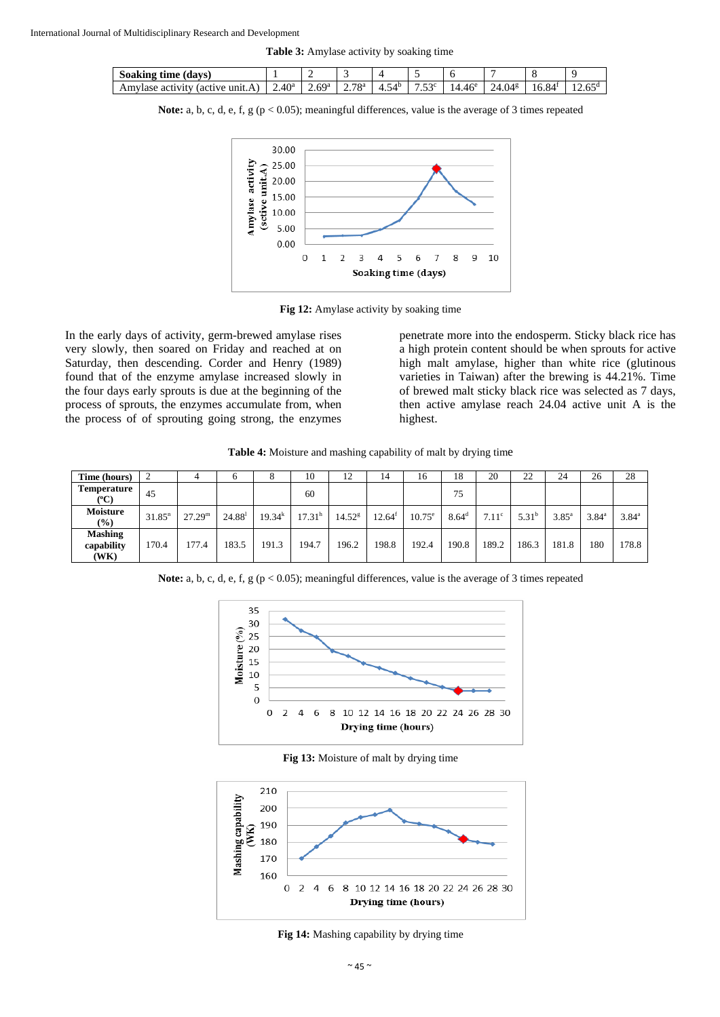**Table 3:** Amylase activity by soaking time

| Soaking<br>(davs)<br>tıme                             | -                | --          |            |       |                   |                    |                                |                 |         |
|-------------------------------------------------------|------------------|-------------|------------|-------|-------------------|--------------------|--------------------------------|-----------------|---------|
| Amy<br>activity<br>≅unit.∠<br>(active<br>$\mathbf{A}$ | .40 <sup>a</sup> | 6Qa<br>ر ن، | 78ª<br>، ۔ | $+$ . | $F \cap C$<br>ت ب | 14.46 <sup>e</sup> | $\gamma_{A}$<br>$4.04^{\circ}$ | $16.84^{\circ}$ | $1 - 0$ |

Note: a, b, c, d, e, f, g (p < 0.05); meaningful differences, value is the average of 3 times repeated



**Fig 12:** Amylase activity by soaking time

In the early days of activity, germ-brewed amylase rises very slowly, then soared on Friday and reached at on Saturday, then descending. Corder and Henry (1989) found that of the enzyme amylase increased slowly in the four days early sprouts is due at the beginning of the process of sprouts, the enzymes accumulate from, when the process of of sprouting going strong, the enzymes

penetrate more into the endosperm. Sticky black rice has a high protein content should be when sprouts for active high malt amylase, higher than white rice (glutinous varieties in Taiwan) after the brewing is 44.21%. Time of brewed malt sticky black rice was selected as 7 days, then active amylase reach 24.04 active unit A is the highest.

**Table 4:** Moisture and mashing capability of malt by drying time

| Time (hours)                         |                    |                 |                 |             | 10        | 12          | 14        | 16              | 18             | 20                | 22                | 24             | 26             | 28             |
|--------------------------------------|--------------------|-----------------|-----------------|-------------|-----------|-------------|-----------|-----------------|----------------|-------------------|-------------------|----------------|----------------|----------------|
| Temperature<br>(°C)                  | 45                 |                 |                 |             | 60        |             |           |                 | 75             |                   |                   |                |                |                |
| <b>Moisture</b><br>$($ %)            | 31.85 <sup>n</sup> | $27.29^{\rm m}$ | $24.88^{\rm l}$ | $19.34^{k}$ | $17.31^h$ | $14.52^{8}$ | $12.64^f$ | $10.75^{\circ}$ | $8.64^{\rm d}$ | 7.11 <sup>c</sup> | 5.31 <sup>b</sup> | $3.85^{\circ}$ | $3.84^{\circ}$ | $3.84^{\circ}$ |
| <b>Mashing</b><br>capability<br>(WK) | 170.4              | 177.4           | 183.5           | 191.3       | 194.7     | 196.2       | 198.8     | 192.4           | 190.8          | 189.2             | 186.3             | 181.8          | 180            | 178.8          |

**Note:** a, b, c, d, e, f, g (p < 0.05); meaningful differences, value is the average of 3 times repeated



**Fig 13:** Moisture of malt by drying time



**Fig 14:** Mashing capability by drying time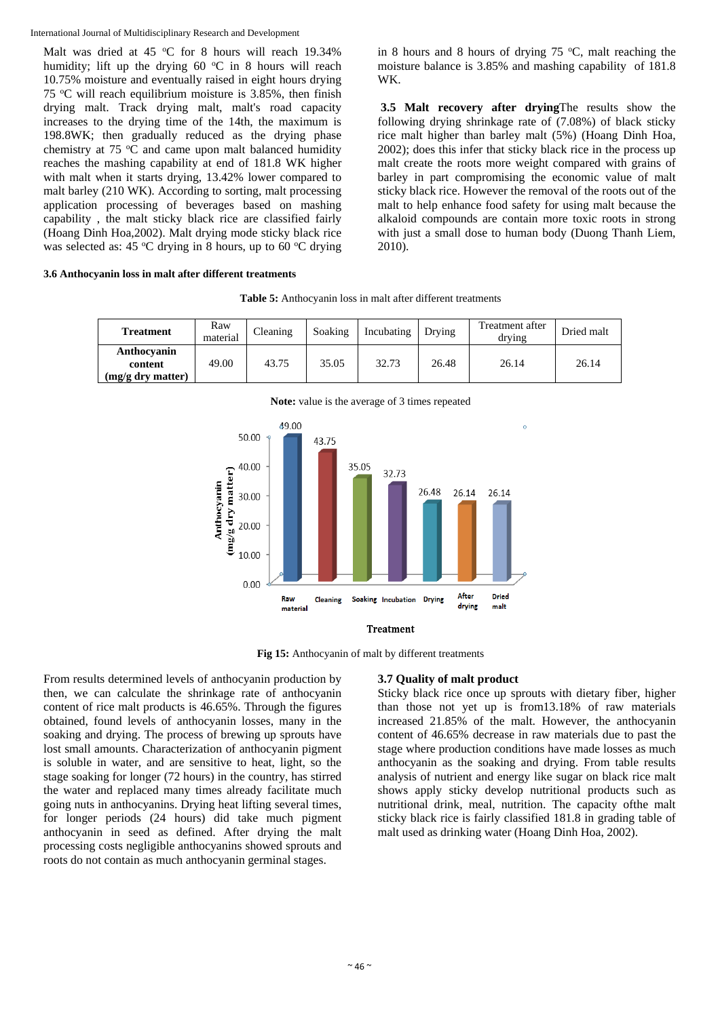Malt was dried at 45 °C for 8 hours will reach 19.34% humidity; lift up the drying  $60 °C$  in 8 hours will reach 10.75% moisture and eventually raised in eight hours drying 75 o C will reach equilibrium moisture is 3.85%, then finish drying malt. Track drying malt, malt's road capacity increases to the drying time of the 14th, the maximum is 198.8WK; then gradually reduced as the drying phase chemistry at  $75 \text{ °C}$  and came upon malt balanced humidity reaches the mashing capability at end of 181.8 WK higher with malt when it starts drying, 13.42% lower compared to malt barley (210 WK). According to sorting, malt processing application processing of beverages based on mashing capability , the malt sticky black rice are classified fairly (Hoang Dinh Hoa,2002). Malt drying mode sticky black rice was selected as: 45 °C drying in 8 hours, up to 60 °C drying

### **3.6 Anthocyanin loss in malt after different treatments**

in 8 hours and 8 hours of drying  $75^{\circ}$ C, malt reaching the moisture balance is 3.85% and mashing capability of 181.8 WK.

 **3.5 Malt recovery after drying**The results show the following drying shrinkage rate of (7.08%) of black sticky rice malt higher than barley malt (5%) (Hoang Dinh Hoa, 2002); does this infer that sticky black rice in the process up malt create the roots more weight compared with grains of barley in part compromising the economic value of malt sticky black rice. However the removal of the roots out of the malt to help enhance food safety for using malt because the alkaloid compounds are contain more toxic roots in strong with just a small dose to human body (Duong Thanh Liem, 2010).

| <b>Table 5:</b> Anthocyanin loss in malt after different treatments |  |
|---------------------------------------------------------------------|--|
|---------------------------------------------------------------------|--|

| <b>Treatment</b>                            | Raw<br>material | Cleaning | Soaking | Incubating | Drying | Treatment after<br>drying | Dried malt |
|---------------------------------------------|-----------------|----------|---------|------------|--------|---------------------------|------------|
| Anthocyanin<br>content<br>(mg/g dry matter) | 49.00           | 43.75    | 35.05   | 32.73      | 26.48  | 26.14                     | 26.14      |



**Fig 15:** Anthocyanin of malt by different treatments

From results determined levels of anthocyanin production by then, we can calculate the shrinkage rate of anthocyanin content of rice malt products is 46.65%. Through the figures obtained, found levels of anthocyanin losses, many in the soaking and drying. The process of brewing up sprouts have lost small amounts. Characterization of anthocyanin pigment is soluble in water, and are sensitive to heat, light, so the stage soaking for longer (72 hours) in the country, has stirred the water and replaced many times already facilitate much going nuts in anthocyanins. Drying heat lifting several times, for longer periods (24 hours) did take much pigment anthocyanin in seed as defined. After drying the malt processing costs negligible anthocyanins showed sprouts and roots do not contain as much anthocyanin germinal stages.

# **3.7 Quality of malt product**

Sticky black rice once up sprouts with dietary fiber, higher than those not yet up is from13.18% of raw materials increased 21.85% of the malt. However, the anthocyanin content of 46.65% decrease in raw materials due to past the stage where production conditions have made losses as much anthocyanin as the soaking and drying. From table results analysis of nutrient and energy like sugar on black rice malt shows apply sticky develop nutritional products such as nutritional drink, meal, nutrition. The capacity ofthe malt sticky black rice is fairly classified 181.8 in grading table of malt used as drinking water (Hoang Dinh Hoa, 2002).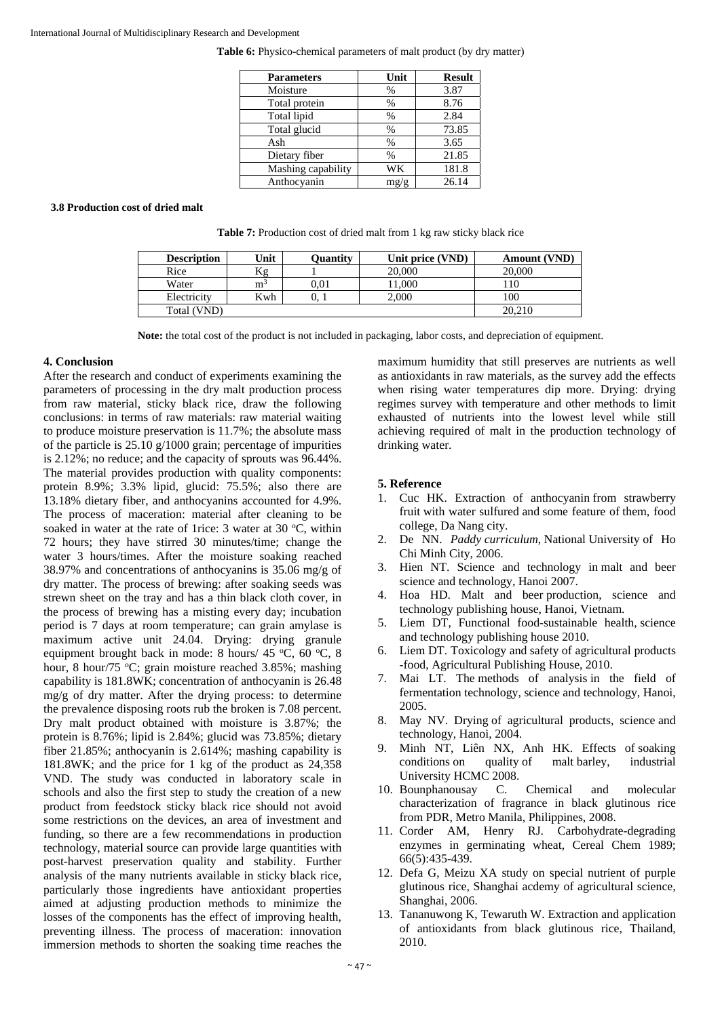Table 6: Physico-chemical parameters of malt product (by dry matter)

| <b>Parameters</b>  | Unit | <b>Result</b> |
|--------------------|------|---------------|
| Moisture           | %    | 3.87          |
| Total protein      | %    | 8.76          |
| Total lipid        | %    | 2.84          |
| Total glucid       | %    | 73.85         |
| Ash                | %    | 3.65          |
| Dietary fiber      | %    | 21.85         |
| Mashing capability | WК   | 181.8         |
| Anthocyanin        | mg/g | 26.14         |

#### **3.8 Production cost of dried malt**

**Table 7:** Production cost of dried malt from 1 kg raw sticky black rice

| <b>Description</b> | Unit           | Ouantity | Unit price (VND) | <b>Amount (VND)</b> |
|--------------------|----------------|----------|------------------|---------------------|
| Rice               | Κg             |          | 20,000           | 20,000              |
| Water              | m <sup>3</sup> | 0.01     | 1,000            |                     |
| Electricity        | Kwh            | v. 1     | 2.000            | 100                 |
| Total (VND)        |                |          |                  | 20,210              |

**Note:** the total cost of the product is not included in packaging, labor costs, and depreciation of equipment.

### **4. Conclusion**

After the research and conduct of experiments examining the parameters of processing in the dry malt production process from raw material, sticky black rice, draw the following conclusions: in terms of raw materials: raw material waiting to produce moisture preservation is 11.7%; the absolute mass of the particle is 25.10 g/1000 grain; percentage of impurities is 2.12%; no reduce; and the capacity of sprouts was 96.44%. The material provides production with quality components: protein 8.9%; 3.3% lipid, glucid: 75.5%; also there are 13.18% dietary fiber, and anthocyanins accounted for 4.9%. The process of maceration: material after cleaning to be soaked in water at the rate of 1 rice:  $3$  water at  $30^{\circ}$ C, within 72 hours; they have stirred 30 minutes/time; change the water 3 hours/times. After the moisture soaking reached 38.97% and concentrations of anthocyanins is 35.06 mg/g of dry matter. The process of brewing: after soaking seeds was strewn sheet on the tray and has a thin black cloth cover, in the process of brewing has a misting every day; incubation period is 7 days at room temperature; can grain amylase is maximum active unit 24.04. Drying: drying granule equipment brought back in mode: 8 hours/ 45 °C, 60 °C, 8 hour, 8 hour/75 °C; grain moisture reached 3.85%; mashing capability is 181.8WK; concentration of anthocyanin is 26.48 mg/g of dry matter. After the drying process: to determine the prevalence disposing roots rub the broken is 7.08 percent. Dry malt product obtained with moisture is 3.87%; the protein is 8.76%; lipid is 2.84%; glucid was 73.85%; dietary fiber 21.85%; anthocyanin is 2.614%; mashing capability is 181.8WK; and the price for 1 kg of the product as 24,358 VND. The study was conducted in laboratory scale in schools and also the first step to study the creation of a new product from feedstock sticky black rice should not avoid some restrictions on the devices, an area of investment and funding, so there are a few recommendations in production technology, material source can provide large quantities with post-harvest preservation quality and stability. Further analysis of the many nutrients available in sticky black rice, particularly those ingredients have antioxidant properties aimed at adjusting production methods to minimize the losses of the components has the effect of improving health, preventing illness. The process of maceration: innovation immersion methods to shorten the soaking time reaches the

maximum humidity that still preserves are nutrients as well as antioxidants in raw materials, as the survey add the effects when rising water temperatures dip more. Drying: drying regimes survey with temperature and other methods to limit exhausted of nutrients into the lowest level while still achieving required of malt in the production technology of drinking water.

# **5. Reference**

- 1. Cuc HK. Extraction of anthocyanin from strawberry fruit with water sulfured and some feature of them, food college, Da Nang city.
- 2. De NN. *Paddy curriculum*, National University of Ho Chi Minh City, 2006.
- 3. Hien NT. Science and technology in malt and beer science and technology, Hanoi 2007.
- 4. Hoa HD. Malt and beer production, science and technology publishing house, Hanoi, Vietnam.
- 5. Liem DT, Functional food-sustainable health, science and technology publishing house 2010.
- 6. Liem DT. Toxicology and safety of agricultural products -food, Agricultural Publishing House, 2010.
- 7. Mai LT. The methods of analysis in the field of fermentation technology, science and technology, Hanoi, 2005.
- 8. May NV. Drying of agricultural products*,* science and technology, Hanoi, 2004.
- 9. Minh NT, Liên NX, Anh HK. Effects of soaking conditions on quality of malt barley, industrial University HCMC 2008.
- 10. Bounphanousay C. Chemical and molecular characterization of fragrance in black glutinous rice from PDR, Metro Manila, Philippines, 2008.
- 11. Corder AM, Henry RJ. Carbohydrate-degrading enzymes in germinating wheat, Cereal Chem 1989; 66(5):435-439.
- 12. Defa G, Meizu XA study on special nutrient of purple glutinous rice, Shanghai acdemy of agricultural science, Shanghai, 2006.
- 13. Tananuwong K, Tewaruth W. Extraction and application of antioxidants from black glutinous rice, Thailand, 2010.